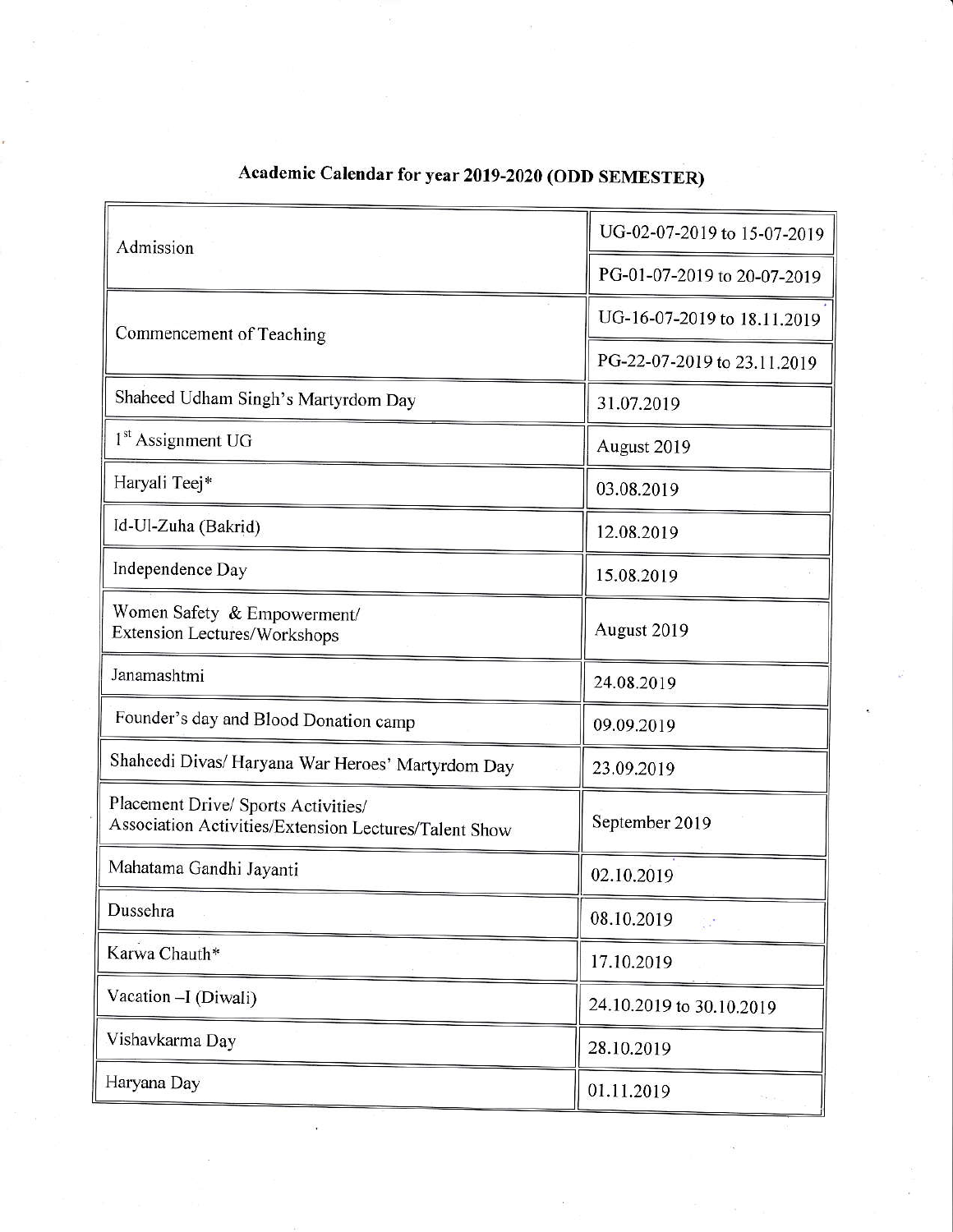| Admission                                                                                    | UG-02-07-2019 to 15-07-2019 |
|----------------------------------------------------------------------------------------------|-----------------------------|
|                                                                                              | PG-01-07-2019 to 20-07-2019 |
| Commencement of Teaching                                                                     | UG-16-07-2019 to 18.11.2019 |
|                                                                                              | PG-22-07-2019 to 23.11.2019 |
| Shaheed Udham Singh's Martyrdom Day                                                          | 31.07.2019                  |
| 1 <sup>st</sup> Assignment UG                                                                | August 2019                 |
| Haryali Teej*                                                                                | 03.08.2019                  |
| Id-Ul-Zuha (Bakrid)                                                                          | 12.08.2019                  |
| Independence Day                                                                             | 15.08.2019                  |
| Women Safety & Empowerment/<br><b>Extension Lectures/Workshops</b>                           | August 2019                 |
| Janamashtmi                                                                                  | 24.08.2019                  |
| Founder's day and Blood Donation camp                                                        | 09.09.2019                  |
| Shaheedi Divas/ Haryana War Heroes' Martyrdom Day                                            | 23.09.2019                  |
| Placement Drive/ Sports Activities/<br>Association Activities/Extension Lectures/Talent Show | September 2019              |
| Mahatama Gandhi Jayanti                                                                      | 02.10.2019                  |
| Dussehra                                                                                     | 08.10.2019<br>$\sim 10$     |
| Karwa Chauth*                                                                                | 17.10.2019                  |
| Vacation - I (Diwali)                                                                        | 24.10.2019 to 30.10.2019    |
| Vishavkarma Day                                                                              | 28.10.2019                  |
| Haryana Day                                                                                  | 01.11.2019                  |
|                                                                                              |                             |

## Academic Calendar for year 2019-2020 (ODD SEMESTER)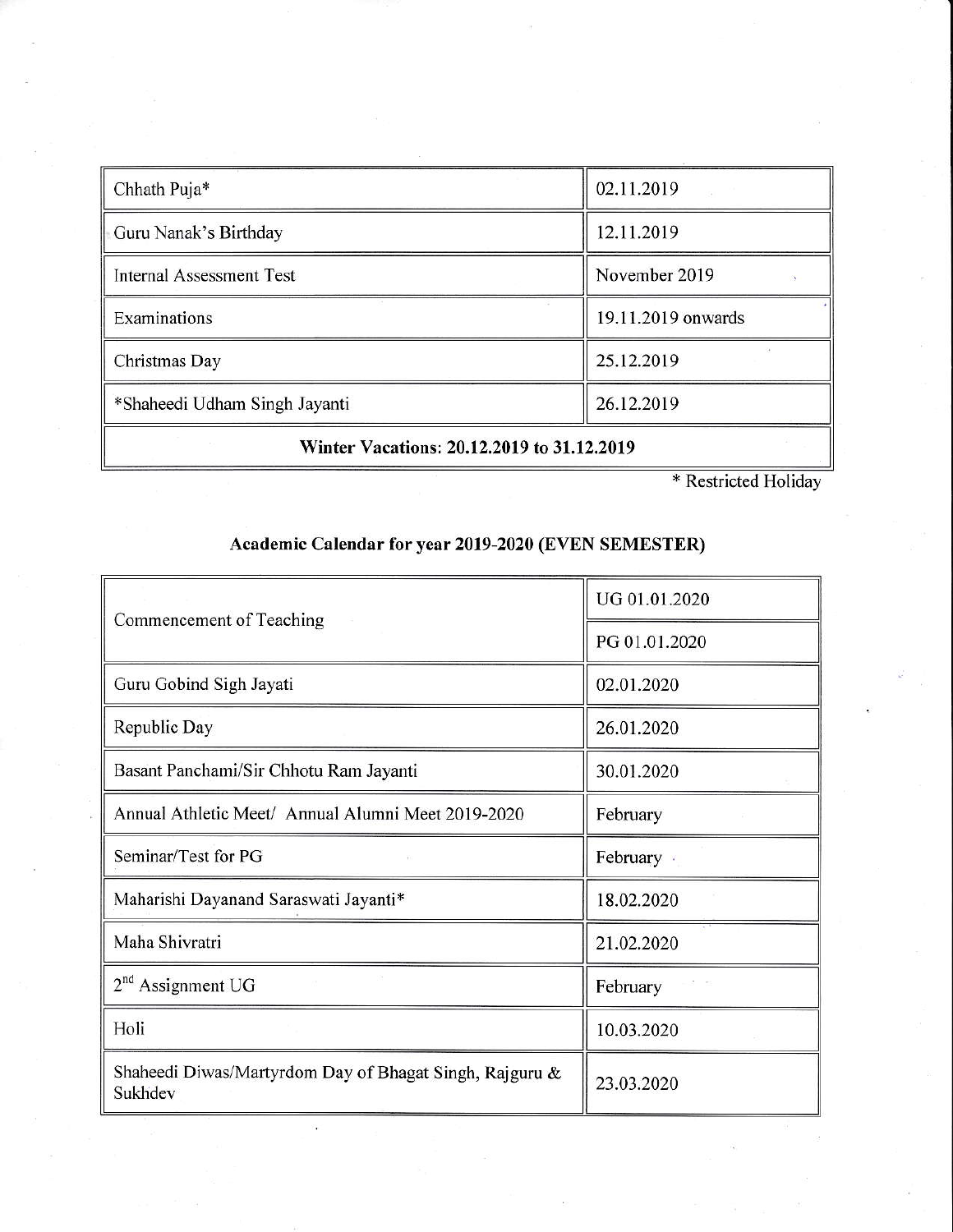| Chhath Puja*                               | 02.11.2019         |  |
|--------------------------------------------|--------------------|--|
| Guru Nanak's Birthday                      | 12.11.2019         |  |
| Internal Assessment Test                   | November 2019      |  |
| Examinations                               | 19.11.2019 onwards |  |
| Christmas Day                              | 25.12.2019         |  |
| *Shaheedi Udham Singh Jayanti              | 26.12.2019         |  |
| Winter Vacations: 20.12.2019 to 31.12.2019 |                    |  |

\* Restricted Holidav

## Academic Calendar for year 2019-2020 (EVEN SEMESTER)

| Commencement of Teaching                                           | UG 01.01.2020 |
|--------------------------------------------------------------------|---------------|
|                                                                    | PG 01.01.2020 |
| Guru Gobind Sigh Jayati                                            | 02.01.2020    |
| Republic Day                                                       | 26.01.2020    |
| Basant Panchami/Sir Chhotu Ram Jayanti                             | 30.01.2020    |
| Annual Athletic Meet/ Annual Alumni Meet 2019-2020                 | February      |
| Seminar/Test for PG                                                | February ·    |
| Maharishi Dayanand Saraswati Jayanti*                              | 18.02.2020    |
| Maha Shivratri                                                     | 21.02.2020    |
| $2nd$ Assignment UG                                                | February      |
| Holi                                                               | 10.03.2020    |
| Shaheedi Diwas/Martyrdom Day of Bhagat Singh, Rajguru &<br>Sukhdev | 23.03.2020    |